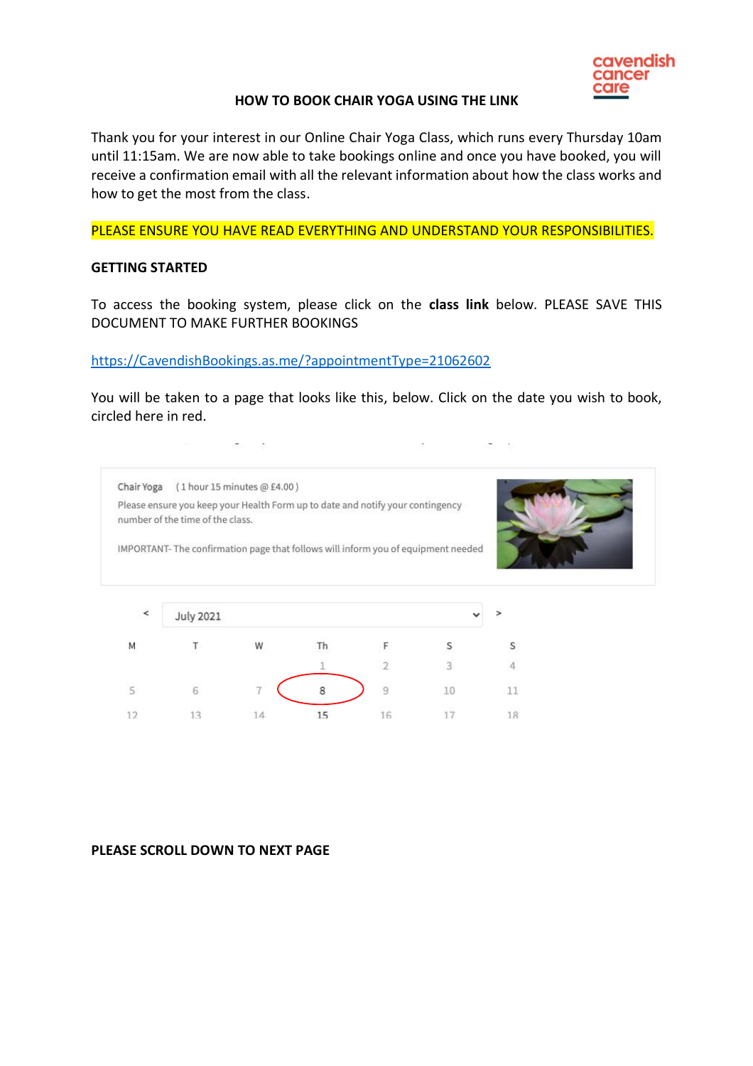

#### **HOW TO BOOK CHAIR YOGA USING THE LINK**

Thank you for your interest in our Online Chair Yoga Class, which runs every Thursday 10am until 11:15am. We are now able to take bookings online and once you have booked, you will receive a confirmation email with all the relevant information about how the class works and how to get the most from the class.

PLEASE ENSURE YOU HAVE READ EVERYTHING AND UNDERSTAND YOUR RESPONSIBILITIES.

#### **GETTING STARTED**

 $5^{\circ}$ 

 $12$ 

To access the booking system, please click on the **class link** below. PLEASE SAVE THIS DOCUMENT TO MAKE FURTHER BOOKINGS

#### [https://CavendishBookings.as.me/?appointmentType=21062602](https://cavendishbookings.as.me/?appointmentType=21062602)

.

 $\overline{7}$ 

14

You will be taken to a page that looks like this, below. Click on the date you wish to book, circled here in red.

 $\sim$ 

 $\sigma$  =  $\sigma$ 

|                          | Please ensure you keep your Health Form up to date and notify your contingency<br>number of the time of the class. |   |    |  |  |
|--------------------------|--------------------------------------------------------------------------------------------------------------------|---|----|--|--|
|                          | IMPORTANT-The confirmation page that follows will inform you of equipment needed                                   |   |    |  |  |
|                          |                                                                                                                    |   |    |  |  |
|                          |                                                                                                                    |   |    |  |  |
| $\overline{\phantom{a}}$ | <b>July 2021</b>                                                                                                   |   |    |  |  |
| M                        |                                                                                                                    | W | Th |  |  |

 $\overline{9}$ 

16

10

17

11

18

8

15

# **PLEASE SCROLL DOWN TO NEXT PAGE**

6

 $13$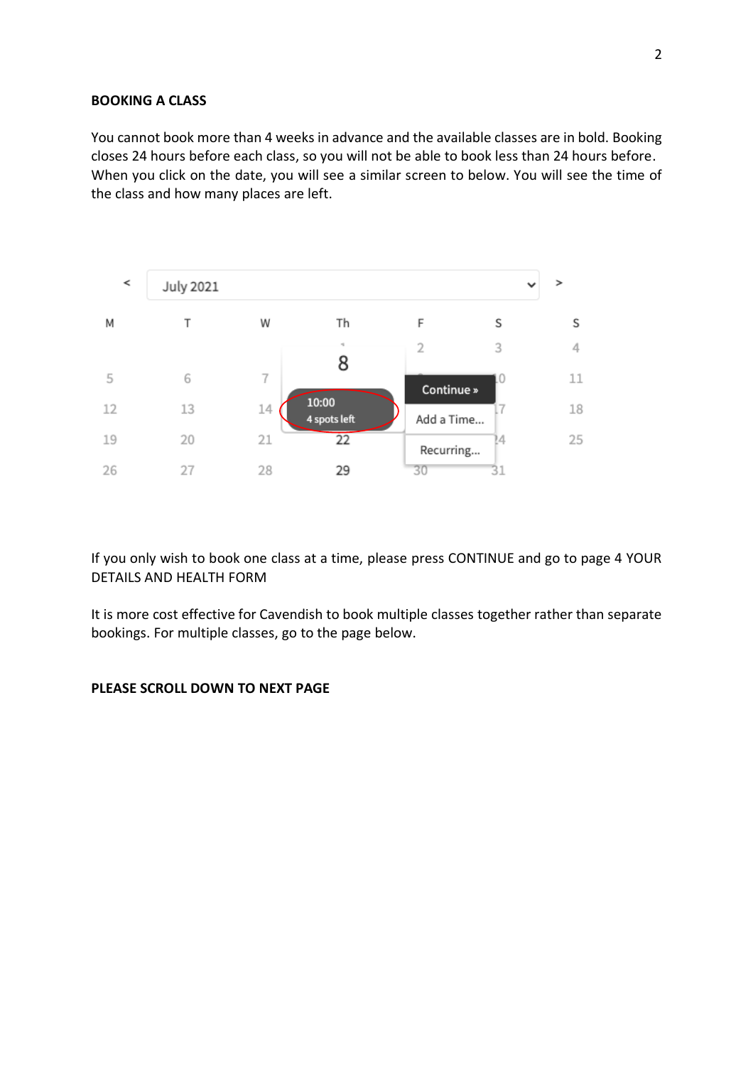# **BOOKING A CLASS**

You cannot book more than 4 weeks in advance and the available classes are in bold. Booking closes 24 hours before each class, so you will not be able to book less than 24 hours before. When you click on the date, you will see a similar screen to below. You will see the time of the class and how many places are left.



If you only wish to book one class at a time, please press CONTINUE and go to page 4 YOUR DETAILS AND HEALTH FORM

It is more cost effective for Cavendish to book multiple classes together rather than separate bookings. For multiple classes, go to the page below.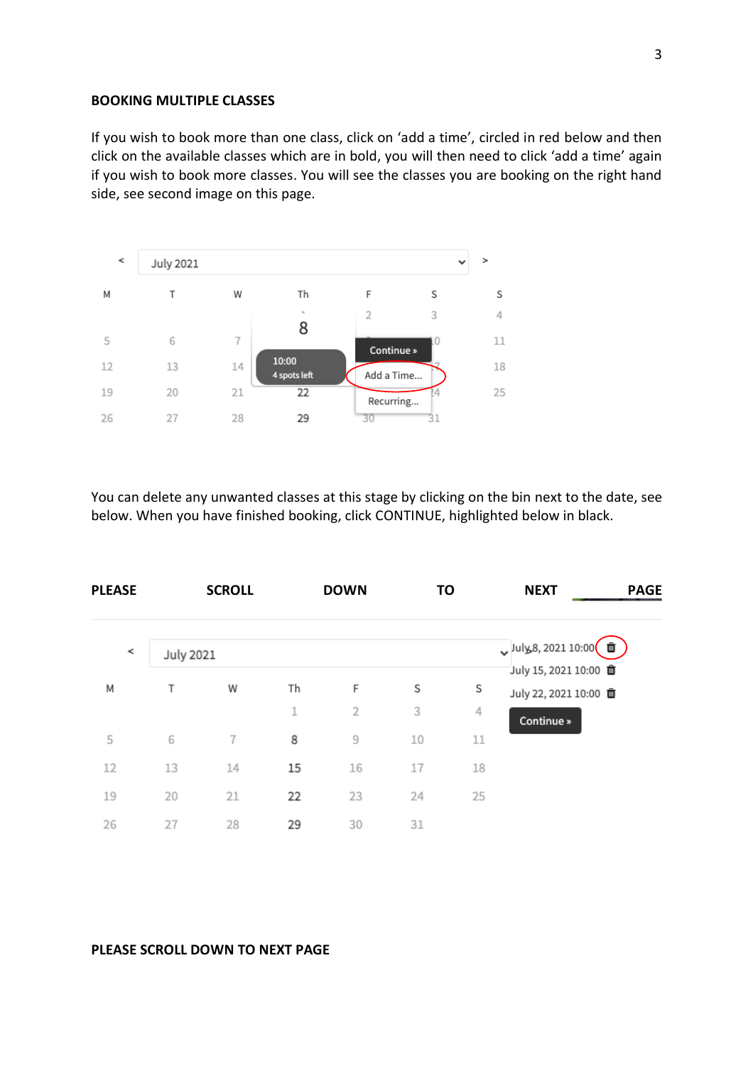#### **BOOKING MULTIPLE CLASSES**

If you wish to book more than one class, click on 'add a time', circled in red below and then click on the available classes which are in bold, you will then need to click 'add a time' again if you wish to book more classes. You will see the classes you are booking on the right hand side, see second image on this page.



You can delete any unwanted classes at this stage by clicking on the bin next to the date, see below. When you have finished booking, click CONTINUE, highlighted below in black.

| <b>PLEASE</b> |                  | <b>SCROLL</b> |    | <b>DOWN</b>    | TO |    | <b>NEXT</b>                                               | <b>PAGE</b> |
|---------------|------------------|---------------|----|----------------|----|----|-----------------------------------------------------------|-------------|
| ≺             | <b>July 2021</b> |               |    |                |    |    | Uuly 8, 2021 10:00 $\frac{1}{2}$<br>July 15, 2021 10:00 0 |             |
| Μ             | Т                | W             | Th | F              | S  | S  | July 22, 2021 10:00 面                                     |             |
|               |                  |               | 1  | $\overline{2}$ | 3  | 4  | Continue »                                                |             |
| 5             | 6                | 7             | 8  | 9              | 10 | 11 |                                                           |             |
| 12            | 13               | 14            | 15 | 16             | 17 | 18 |                                                           |             |
| 19            | 20               | 21            | 22 | 23             | 24 | 25 |                                                           |             |
| 26            | 27               | 28            | 29 | 30             | 31 |    |                                                           |             |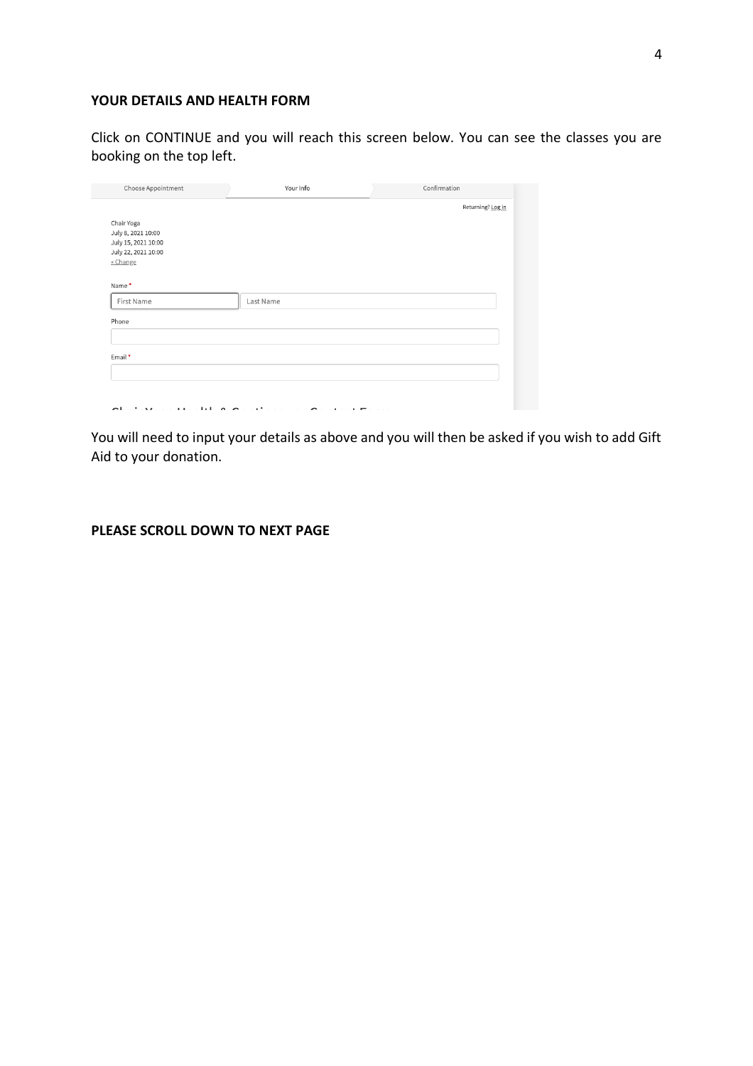# **YOUR DETAILS AND HEALTH FORM**

Click on CONTINUE and you will reach this screen below. You can see the classes you are booking on the top left.

| Choose Appointment                                                                         | Your Info                                                                                                 | Confirmation      |
|--------------------------------------------------------------------------------------------|-----------------------------------------------------------------------------------------------------------|-------------------|
| Chair Yoga<br>July 8, 2021 10:00<br>July 15, 2021 10:00<br>July 22, 2021 10:00<br>« Change |                                                                                                           | Returning? Log in |
| Name*<br>First Name<br>Phone                                                               | Last Name                                                                                                 |                   |
| Email*                                                                                     |                                                                                                           |                   |
|                                                                                            | All states of the life $\wedge$ $\wedge$ and $\wedge$ and $\wedge$ and $\wedge$ and $\wedge$ and $\wedge$ |                   |

You will need to input your details as above and you will then be asked if you wish to add Gift Aid to your donation.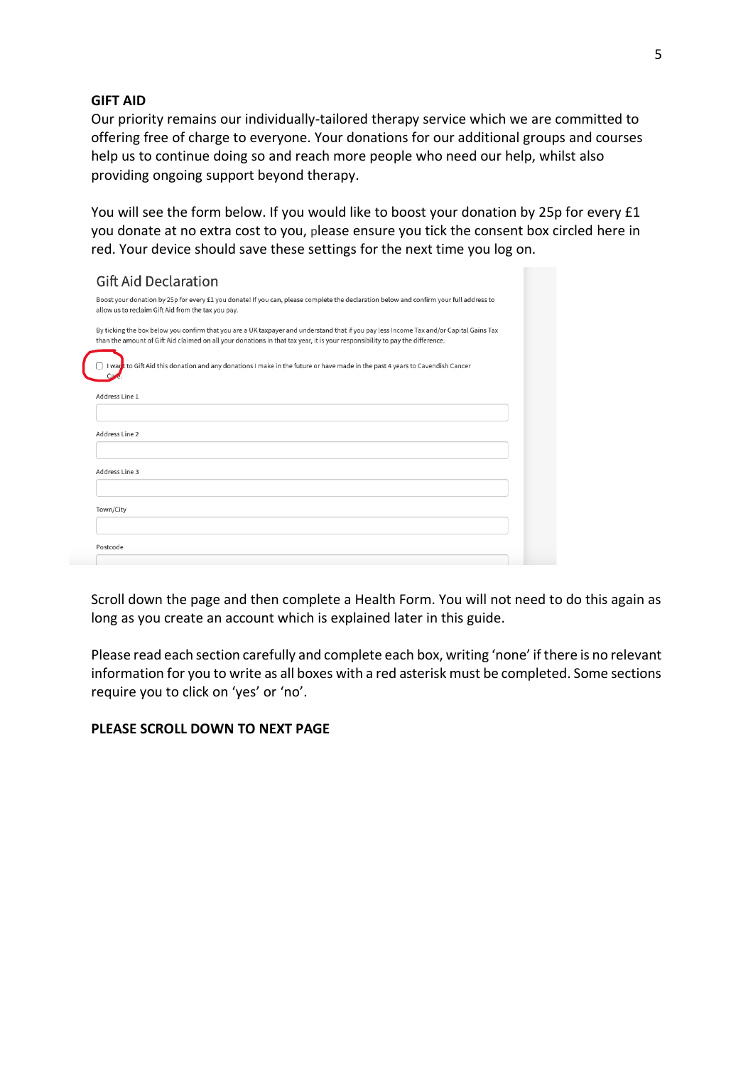#### **GIFT AID**

Our priority remains our individually-tailored therapy service which we are committed to offering free of charge to everyone. Your donations for our additional groups and courses help us to continue doing so and reach more people who need our help, whilst also providing ongoing support beyond therapy.

You will see the form below. If you would like to boost your donation by 25p for every £1 you donate at no extra cost to you, please ensure you tick the consent box circled here in red. Your device should save these settings for the next time you log on.

| <b>Gift Aid Declaration</b>                                                                                                                                                                                                                                             |
|-------------------------------------------------------------------------------------------------------------------------------------------------------------------------------------------------------------------------------------------------------------------------|
| Boost your donation by 25p for every £1 you donate! If you can, please complete the declaration below and confirm your full address to<br>allow us to reclaim Gift Aid from the tax you pay.                                                                            |
| By ticking the box below you confirm that you are a UK taxpayer and understand that if you pay less Income Tax and/or Capital Gains Tax<br>than the amount of Gift Aid claimed on all your donations in that tax year, it is your responsibility to pay the difference. |
| I war <mark>k</mark> to Gift Aid this donation and any donations I make in the future or have made in the past 4 years to Cavendish Cancer                                                                                                                              |
| Address Line 1                                                                                                                                                                                                                                                          |
|                                                                                                                                                                                                                                                                         |
| Address Line 2                                                                                                                                                                                                                                                          |
| Address Line 3                                                                                                                                                                                                                                                          |
|                                                                                                                                                                                                                                                                         |
| Town/City                                                                                                                                                                                                                                                               |
|                                                                                                                                                                                                                                                                         |
| Postcode                                                                                                                                                                                                                                                                |
|                                                                                                                                                                                                                                                                         |

Scroll down the page and then complete a Health Form. You will not need to do this again as long as you create an account which is explained later in this guide.

Please read each section carefully and complete each box, writing 'none' if there is no relevant information for you to write as all boxes with a red asterisk must be completed. Some sections require you to click on 'yes' or 'no'.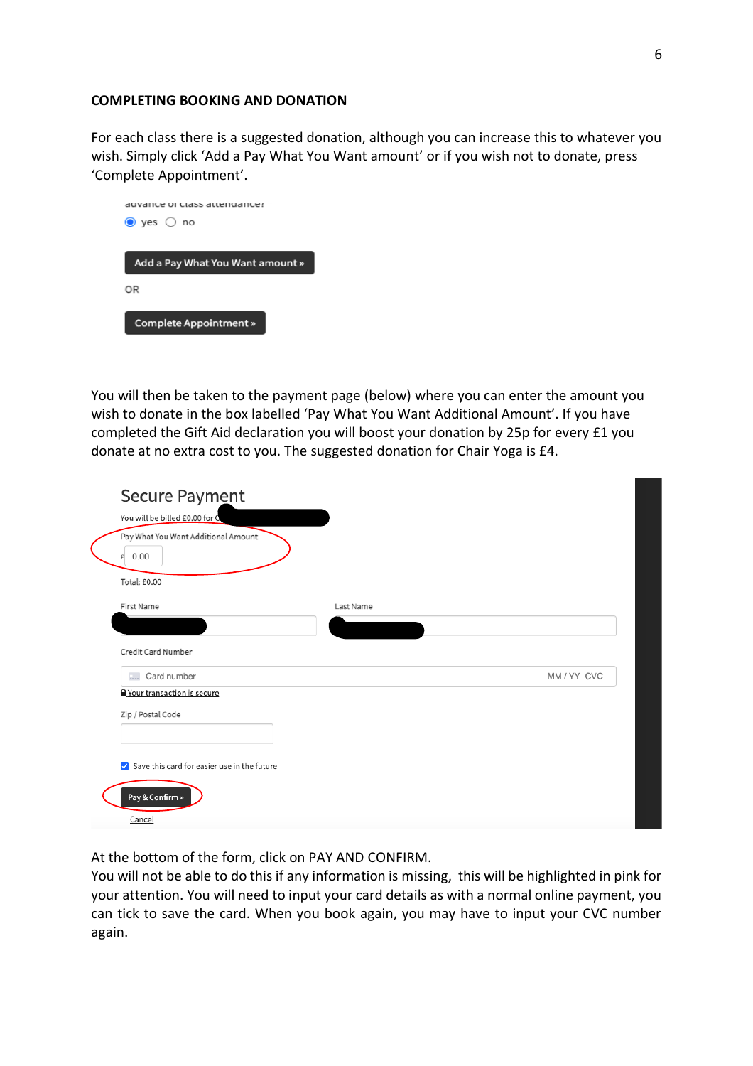#### **COMPLETING BOOKING AND DONATION**

For each class there is a suggested donation, although you can increase this to whatever you wish. Simply click 'Add a Pay What You Want amount' or if you wish not to donate, press 'Complete Appointment'.



You will then be taken to the payment page (below) where you can enter the amount you wish to donate in the box labelled 'Pay What You Want Additional Amount'. If you have completed the Gift Aid declaration you will boost your donation by 25p for every £1 you donate at no extra cost to you. The suggested donation for Chair Yoga is £4.

| Secure Payment<br>You will be billed £0.00 for C<br>Pay What You Want Additional Amount<br>0.00<br>£<br>Total: £0.00 |           |  |
|----------------------------------------------------------------------------------------------------------------------|-----------|--|
| First Name                                                                                                           | Last Name |  |
| Credit Card Number                                                                                                   |           |  |
| Card number<br>$\overline{a}$                                                                                        | MM/YY CVC |  |
| <b>A</b> Your transaction is secure                                                                                  |           |  |
| Zip / Postal Code                                                                                                    |           |  |
|                                                                                                                      |           |  |
| Save this card for easier use in the future                                                                          |           |  |
| Pay & Confirm »                                                                                                      |           |  |
| Cancel                                                                                                               |           |  |

At the bottom of the form, click on PAY AND CONFIRM.

You will not be able to do this if any information is missing, this will be highlighted in pink for your attention. You will need to input your card details as with a normal online payment, you can tick to save the card. When you book again, you may have to input your CVC number again.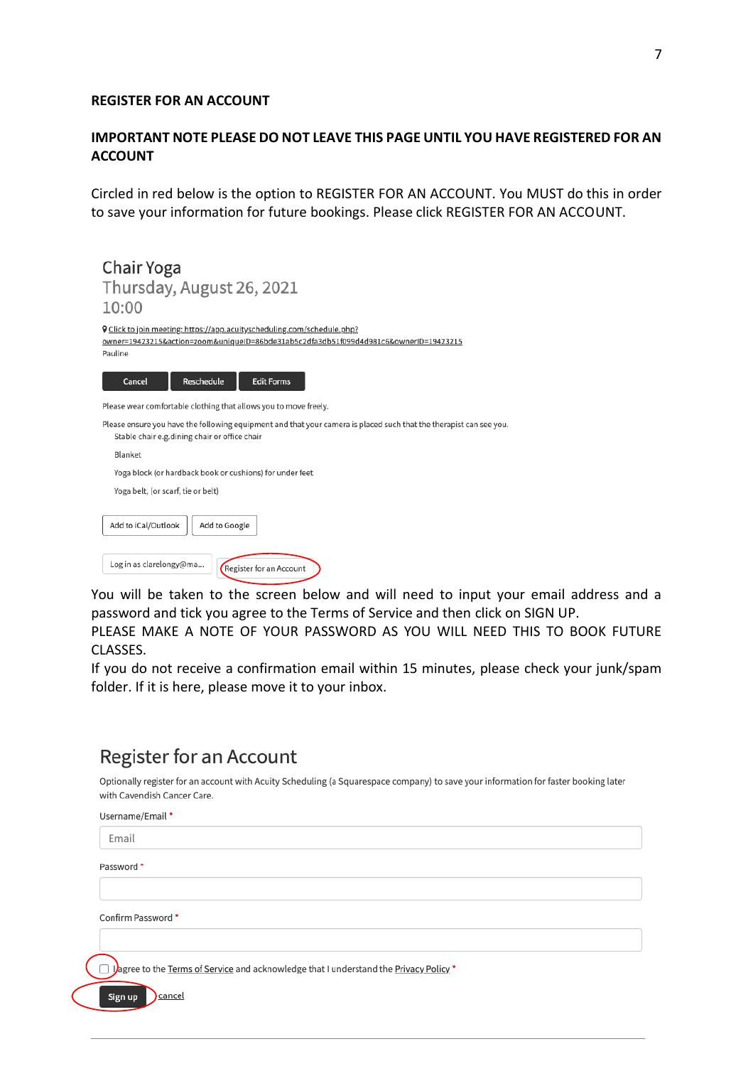#### **REGISTER FOR AN ACCOUNT**

# **IMPORTANT NOTE PLEASE DO NOT LEAVE THIS PAGE UNTIL YOU HAVE REGISTERED FOR AN ACCOUNT**

Circled in red below is the option to REGISTER FOR AN ACCOUNT. You MUST do this in order to save your information for future bookings. Please click REGISTER FOR AN ACCOUNT.

Chair Yoga Thursday, August 26, 2021  $10:00$ 

**Q** Click to join meeting: https://app.acuityscheduling.com/schedule.php? owner=19423215&action=zoom&uniqueID=86bde31ab5c2dfa3db51f099d4d981c6&ownerID=19423215 Pauline



Please wear comfortable clothing that allows you to move freely.

Please ensure you have the following equipment and that your camera is placed such that the therapist can see you. Stable chair e.g. dining chair or office chair

| bable chair cigiuming chair or omee chair                |
|----------------------------------------------------------|
| Blanket                                                  |
| Yoga block (or hardback book or cushions) for under feet |
| Yoga belt, (or scarf, tie or belt)                       |
|                                                          |
| Add to Google<br>Add to iCal/Outlook                     |
|                                                          |
| Log in as clarelongy@ma<br>Register for an Account       |
|                                                          |

You will be taken to the screen below and will need to input your email address and a password and tick you agree to the Terms of Service and then click on SIGN UP.

PLEASE MAKE A NOTE OF YOUR PASSWORD AS YOU WILL NEED THIS TO BOOK FUTURE CLASSES.

If you do not receive a confirmation email within 15 minutes, please check your junk/spam folder. If it is here, please move it to your inbox.

# **Register for an Account**

Optionally register for an account with Acuity Scheduling (a Squarespace company) to save your information for faster booking later with Cavendish Cancer Care.

| Username/Email *                                                                      |
|---------------------------------------------------------------------------------------|
| Email                                                                                 |
| Password *                                                                            |
|                                                                                       |
| Confirm Password *                                                                    |
|                                                                                       |
| Jagree to the Terms of Service and acknowledge that I understand the Privacy Policy.* |
| cancel<br>Sign up                                                                     |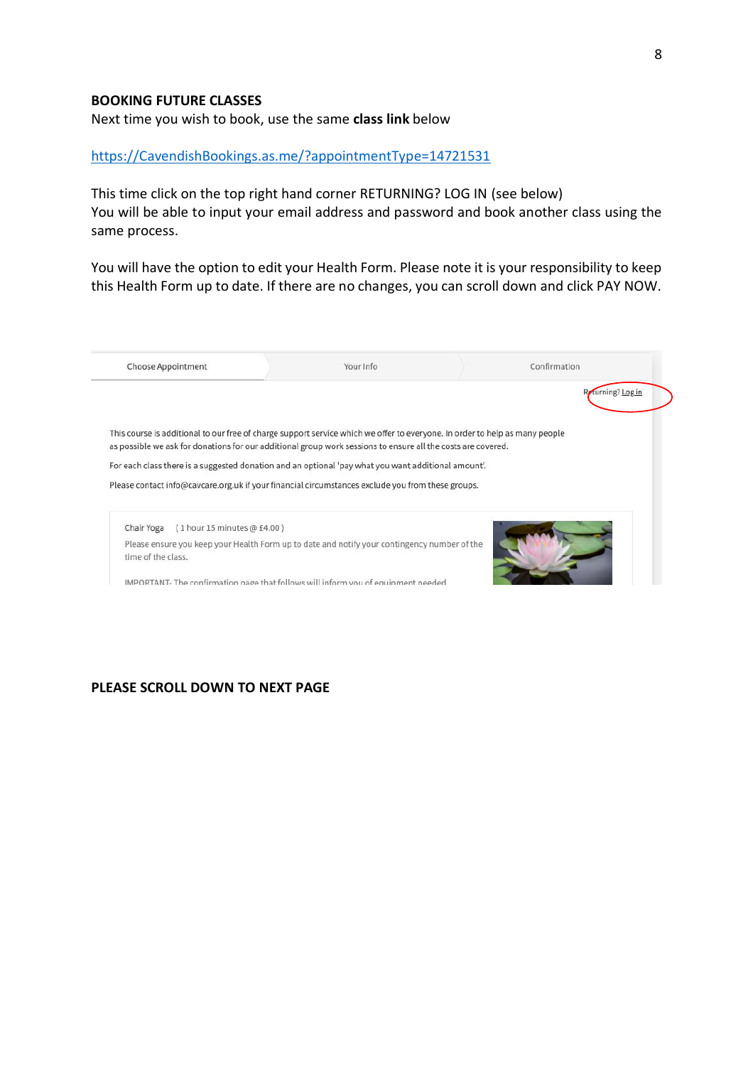#### **BOOKING FUTURE CLASSES**

Next time you wish to book, use the same **class link** below

#### [https://CavendishBookings.as.me/?appointmentType=14721531](https://cavendishbookings.as.me/?appointmentType=14721531)

This time click on the top right hand corner RETURNING? LOG IN (see below) You will be able to input your email address and password and book another class using the same process.

You will have the option to edit your Health Form. Please note it is your responsibility to keep this Health Form up to date. If there are no changes, you can scroll down and click PAY NOW.

|                                             |                                                                                                                             | Returning? Log in |
|---------------------------------------------|-----------------------------------------------------------------------------------------------------------------------------|-------------------|
|                                             | This course is additional to our free of charge support service which we offer to everyone. In order to help as many people |                   |
|                                             | as possible we ask for donations for our additional group work sessions to ensure all the costs are covered.                |                   |
|                                             |                                                                                                                             |                   |
|                                             | For each class there is a suggested donation and an optional 'pay what you want additional amount'.                         |                   |
|                                             | Please contact info@cavcare.org.uk if your financial circumstances exclude you from these groups.                           |                   |
|                                             |                                                                                                                             |                   |
| $(1$ hour 15 minutes @ £4.00)<br>Chair Yoga |                                                                                                                             |                   |
| time of the class.                          | Please ensure you keep your Health Form up to date and notify your contingency number of the                                |                   |